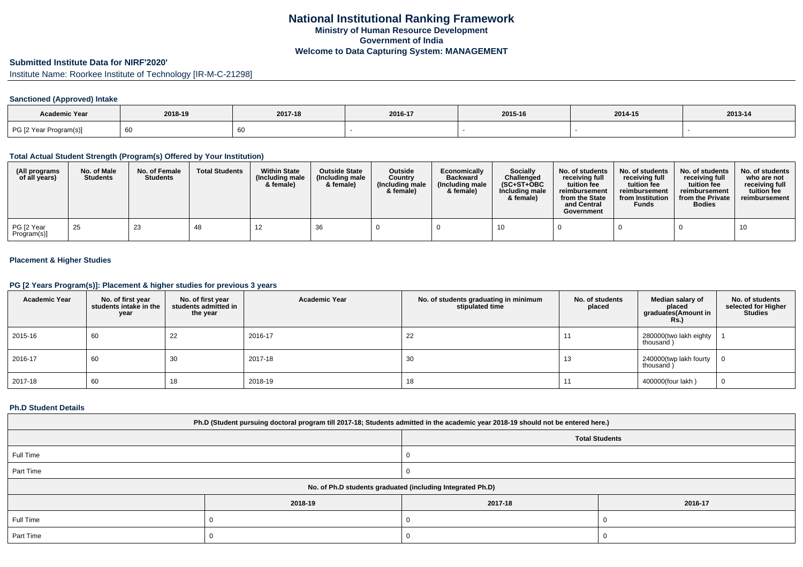# **Submitted Institute Data for NIRF'2020'**

Institute Name: Roorkee Institute of Technology [IR-M-C-21298]

### **Sanctioned (Approved) Intake**

| Academic Year          | 2018-19 | 2017-18 | 2016-17 | 2015-16 | 2014-15 | 2013-14 |
|------------------------|---------|---------|---------|---------|---------|---------|
| PG [2 Year Program(s)] | 60      |         |         |         |         |         |

#### **Total Actual Student Strength (Program(s) Offered by Your Institution)**

| (All programs<br>of all years) | No. of Male<br><b>Students</b> | No. of Female<br><b>Students</b> | <b>Total Students</b> | <b>Within State</b><br>(Including male<br>& female) | <b>Outside State</b><br>(Including male)<br>& female) | <b>Outside</b><br>Country<br>(Including male<br>& female) | Economically<br><b>Backward</b><br>(Including male<br>& female) | <b>Socially</b><br>Challenged<br>$(SC+ST+OBC$<br>Including male<br>& female) | No. of students<br>receiving full<br>tuition fee<br>reimbursement<br>from the State<br>and Central<br>Government | No. of students<br>receiving full<br>tuition fee<br>reimbursement<br>from Institution<br><b>Funds</b> | No. of students<br>receiving full<br>tuition fee<br>reimbursement<br>from the Private<br><b>Bodies</b> | No. of students<br>who are not<br>receiving full<br>tuition fee<br>reimbursement |
|--------------------------------|--------------------------------|----------------------------------|-----------------------|-----------------------------------------------------|-------------------------------------------------------|-----------------------------------------------------------|-----------------------------------------------------------------|------------------------------------------------------------------------------|------------------------------------------------------------------------------------------------------------------|-------------------------------------------------------------------------------------------------------|--------------------------------------------------------------------------------------------------------|----------------------------------------------------------------------------------|
| PG [2 Year<br>Program(s)]      | 25                             | 23                               | 48                    | 14                                                  | -36                                                   |                                                           |                                                                 |                                                                              |                                                                                                                  |                                                                                                       |                                                                                                        | 10                                                                               |

### **Placement & Higher Studies**

### **PG [2 Years Program(s)]: Placement & higher studies for previous 3 years**

| <b>Academic Year</b> | No. of first year<br>students intake in the<br>year | No. of first vear<br>students admitted in<br>the year | <b>Academic Year</b> | No. of students graduating in minimum<br>stipulated time | No. of students<br>placed | Median salary of<br>placed<br>graduates(Amount in<br>Rs. | No. of students<br>selected for Higher<br><b>Studies</b> |
|----------------------|-----------------------------------------------------|-------------------------------------------------------|----------------------|----------------------------------------------------------|---------------------------|----------------------------------------------------------|----------------------------------------------------------|
| 2015-16              | 60                                                  | 22                                                    | 2016-17              | 22                                                       |                           | 280000(two lakh eighty<br>thousand)                      |                                                          |
| 2016-17              | 60                                                  | 30                                                    | 2017-18              | 30                                                       | 13                        | 240000(twp lakh fourty<br>thousand)                      |                                                          |
| 2017-18              | 60                                                  | 10                                                    | 2018-19              | 18                                                       |                           | 400000(four lakh)                                        |                                                          |

#### **Ph.D Student Details**

| Ph.D (Student pursuing doctoral program till 2017-18; Students admitted in the academic year 2018-19 should not be entered here.) |         |                       |         |  |
|-----------------------------------------------------------------------------------------------------------------------------------|---------|-----------------------|---------|--|
|                                                                                                                                   |         | <b>Total Students</b> |         |  |
| Full Time                                                                                                                         |         |                       |         |  |
| Part Time                                                                                                                         |         |                       |         |  |
| No. of Ph.D students graduated (including Integrated Ph.D)                                                                        |         |                       |         |  |
|                                                                                                                                   | 2018-19 | 2017-18               | 2016-17 |  |
| Full Time                                                                                                                         |         |                       |         |  |
| Part Time                                                                                                                         |         |                       |         |  |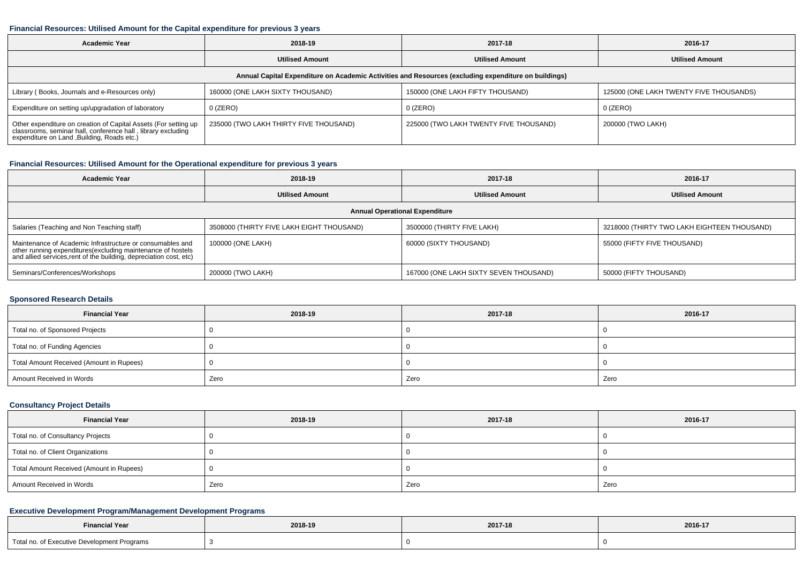#### **Financial Resources: Utilised Amount for the Capital expenditure for previous 3 years**

| <b>Academic Year</b>                                                                                                                                                    | 2018-19                                | 2017-18                                | 2016-17                                 |  |  |
|-------------------------------------------------------------------------------------------------------------------------------------------------------------------------|----------------------------------------|----------------------------------------|-----------------------------------------|--|--|
|                                                                                                                                                                         | <b>Utilised Amount</b>                 | <b>Utilised Amount</b>                 | <b>Utilised Amount</b>                  |  |  |
| Annual Capital Expenditure on Academic Activities and Resources (excluding expenditure on buildings)                                                                    |                                        |                                        |                                         |  |  |
| Library (Books, Journals and e-Resources only)                                                                                                                          | 160000 (ONE LAKH SIXTY THOUSAND)       | 150000 (ONE LAKH FIFTY THOUSAND)       | 125000 (ONE LAKH TWENTY FIVE THOUSANDS) |  |  |
| Expenditure on setting up/upgradation of laboratory                                                                                                                     | 0 (ZERO)                               | $0$ (ZERO)                             | 0 (ZERO)                                |  |  |
| Other expenditure on creation of Capital Assets (For setting up classrooms, seminar hall, conference hall, library excluding expenditure on Land ,Building, Roads etc.) | 235000 (TWO LAKH THIRTY FIVE THOUSAND) | 225000 (TWO LAKH TWENTY FIVE THOUSAND) | 200000 (TWO LAKH)                       |  |  |

### **Financial Resources: Utilised Amount for the Operational expenditure for previous 3 years**

| Academic Year                                                                                                                                                                                  | 2018-19                                   | 2017-18                                | 2016-17                                     |  |
|------------------------------------------------------------------------------------------------------------------------------------------------------------------------------------------------|-------------------------------------------|----------------------------------------|---------------------------------------------|--|
|                                                                                                                                                                                                | <b>Utilised Amount</b>                    | <b>Utilised Amount</b>                 | <b>Utilised Amount</b>                      |  |
| <b>Annual Operational Expenditure</b>                                                                                                                                                          |                                           |                                        |                                             |  |
| Salaries (Teaching and Non Teaching staff)                                                                                                                                                     | 3508000 (THIRTY FIVE LAKH EIGHT THOUSAND) | 3500000 (THIRTY FIVE LAKH)             | 3218000 (THIRTY TWO LAKH EIGHTEEN THOUSAND) |  |
| Maintenance of Academic Infrastructure or consumables and<br>other running expenditures(excluding maintenance of hostels<br>and allied services, rent of the building, depreciation cost, etc) | 100000 (ONE LAKH)                         | 60000 (SIXTY THOUSAND)                 | 55000 (FIFTY FIVE THOUSAND)                 |  |
| Seminars/Conferences/Workshops                                                                                                                                                                 | 200000 (TWO LAKH)                         | 167000 (ONE LAKH SIXTY SEVEN THOUSAND) | 50000 (FIFTY THOUSAND)                      |  |

### **Sponsored Research Details**

| <b>Financial Year</b>                    | 2018-19 | 2017-18 | 2016-17 |
|------------------------------------------|---------|---------|---------|
| Total no. of Sponsored Projects          |         |         |         |
| Total no. of Funding Agencies            |         |         |         |
| Total Amount Received (Amount in Rupees) |         |         |         |
| Amount Received in Words                 | Zero    | Zero    | Zero    |

#### **Consultancy Project Details**

| <b>Financial Year</b>                    | 2018-19 | 2017-18 | 2016-17 |
|------------------------------------------|---------|---------|---------|
| Total no. of Consultancy Projects        |         |         |         |
| Total no. of Client Organizations        |         |         |         |
| Total Amount Received (Amount in Rupees) |         |         |         |
| Amount Received in Words                 | Zero    | Zero    | Zero    |

### **Executive Development Program/Management Development Programs**

| <b>Financial Year</b>                       | 2018-19 | 2017-18 | 2016-17 |
|---------------------------------------------|---------|---------|---------|
| Total no. of Executive Development Programs |         |         |         |